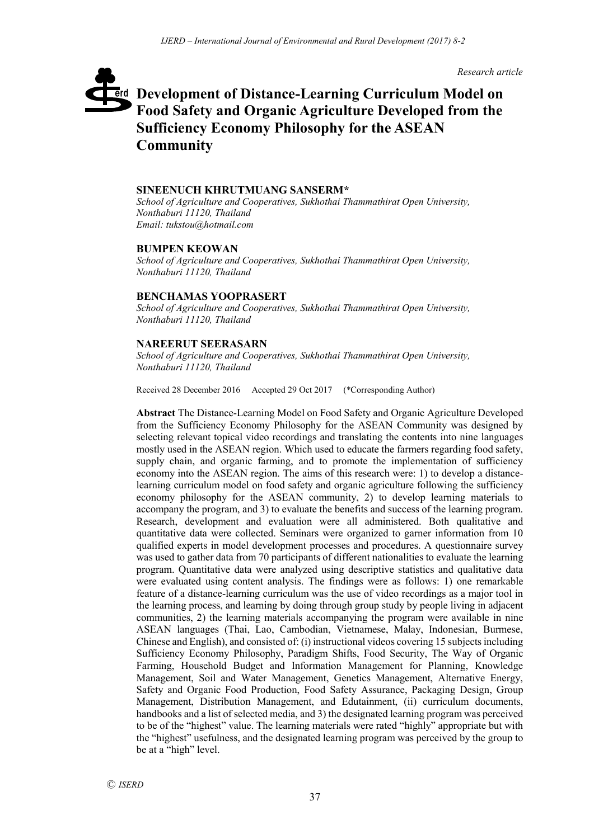*Research article*

# **Development of Distance-Learning Curriculum Model on**  erd **Food Safety and Organic Agriculture Developed from the Sufficiency Economy Philosophy for the ASEAN Community**

#### **SINEENUCH KHRUTMUANG SANSERM\***

*School of Agriculture and Cooperatives, Sukhothai Thammathirat Open University, Nonthaburi 11120, Thailand Email: tukstou@hotmail.com*

#### **BUMPEN KEOWAN**

*School of Agriculture and Cooperatives, Sukhothai Thammathirat Open University, Nonthaburi 11120, Thailand*

#### **BENCHAMAS YOOPRASERT**

*School of Agriculture and Cooperatives, Sukhothai Thammathirat Open University, Nonthaburi 11120, Thailand*

## **NAREERUT SEERASARN**

*School of Agriculture and Cooperatives, Sukhothai Thammathirat Open University, Nonthaburi 11120, Thailand*

Received 28 December 2016 Accepted 29 Oct 2017 (\*Corresponding Author)

**Abstract** The Distance-Learning Model on Food Safety and Organic Agriculture Developed from the Sufficiency Economy Philosophy for the ASEAN Community was designed by selecting relevant topical video recordings and translating the contents into nine languages mostly used in the ASEAN region. Which used to educate the farmers regarding food safety, supply chain, and organic farming, and to promote the implementation of sufficiency economy into the ASEAN region. The aims of this research were: 1) to develop a distancelearning curriculum model on food safety and organic agriculture following the sufficiency economy philosophy for the ASEAN community, 2) to develop learning materials to accompany the program, and 3) to evaluate the benefits and success of the learning program. Research, development and evaluation were all administered. Both qualitative and quantitative data were collected. Seminars were organized to garner information from 10 qualified experts in model development processes and procedures. A questionnaire survey was used to gather data from 70 participants of different nationalities to evaluate the learning program. Quantitative data were analyzed using descriptive statistics and qualitative data were evaluated using content analysis. The findings were as follows: 1) one remarkable feature of a distance-learning curriculum was the use of video recordings as a major tool in the learning process, and learning by doing through group study by people living in adjacent communities, 2) the learning materials accompanying the program were available in nine ASEAN languages (Thai, Lao, Cambodian, Vietnamese, Malay, Indonesian, Burmese, Chinese and English), and consisted of: (i) instructional videos covering 15 subjects including Sufficiency Economy Philosophy, Paradigm Shifts, Food Security, The Way of Organic Farming, Household Budget and Information Management for Planning, Knowledge Management, Soil and Water Management, Genetics Management, Alternative Energy, Safety and Organic Food Production, Food Safety Assurance, Packaging Design, Group Management, Distribution Management, and Edutainment, (ii) curriculum documents, handbooks and a list of selected media, and 3) the designated learning program was perceived to be of the "highest" value. The learning materials were rated "highly" appropriate but with the "highest" usefulness, and the designated learning program was perceived by the group to be at a "high" level.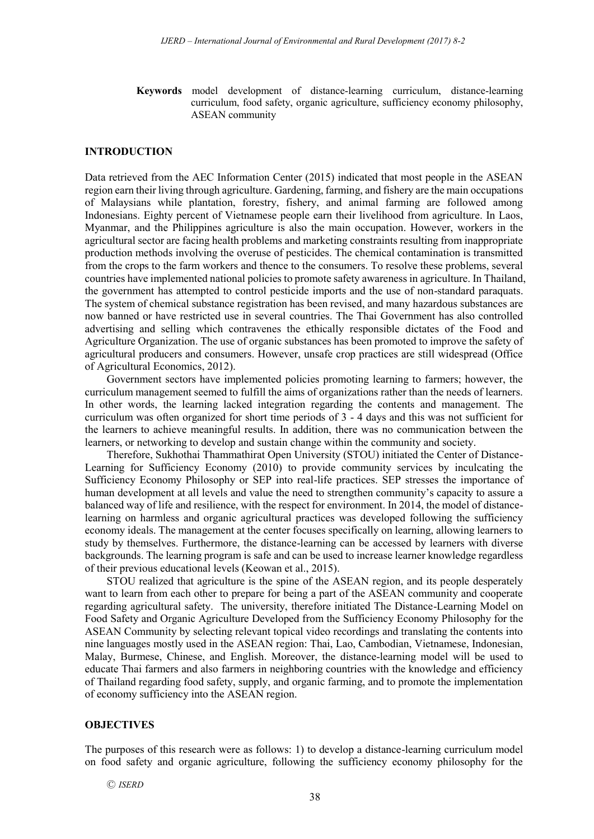**Keywords** model development of distance-learning curriculum, distance-learning curriculum, food safety, organic agriculture, sufficiency economy philosophy, ASEAN community

#### **INTRODUCTION**

Data retrieved from the AEC Information Center (2015) indicated that most people in the ASEAN region earn their living through agriculture. Gardening, farming, and fishery are the main occupations of Malaysians while plantation, forestry, fishery, and animal farming are followed among Indonesians. Eighty percent of Vietnamese people earn their livelihood from agriculture. In Laos, Myanmar, and the Philippines agriculture is also the main occupation. However, workers in the agricultural sector are facing health problems and marketing constraints resulting from inappropriate production methods involving the overuse of pesticides. The chemical contamination is transmitted from the crops to the farm workers and thence to the consumers. To resolve these problems, several countries have implemented national policies to promote safety awareness in agriculture. In Thailand, the government has attempted to control pesticide imports and the use of non-standard paraquats. The system of chemical substance registration has been revised, and many hazardous substances are now banned or have restricted use in several countries. The Thai Government has also controlled advertising and selling which contravenes the ethically responsible dictates of the Food and Agriculture Organization. The use of organic substances has been promoted to improve the safety of agricultural producers and consumers. However, unsafe crop practices are still widespread (Office of Agricultural Economics, 2012).

Government sectors have implemented policies promoting learning to farmers; however, the curriculum management seemed to fulfill the aims of organizations rather than the needs of learners. In other words, the learning lacked integration regarding the contents and management. The curriculum was often organized for short time periods of 3 - 4 days and this was not sufficient for the learners to achieve meaningful results. In addition, there was no communication between the learners, or networking to develop and sustain change within the community and society.

Therefore, Sukhothai Thammathirat Open University (STOU) initiated the Center of Distance-Learning for Sufficiency Economy (2010) to provide community services by inculcating the Sufficiency Economy Philosophy or SEP into real-life practices. SEP stresses the importance of human development at all levels and value the need to strengthen community's capacity to assure a balanced way of life and resilience, with the respect for environment. In 2014, the model of distancelearning on harmless and organic agricultural practices was developed following the sufficiency economy ideals. The management at the center focuses specifically on learning, allowing learners to study by themselves. Furthermore, the distance-learning can be accessed by learners with diverse backgrounds. The learning program is safe and can be used to increase learner knowledge regardless of their previous educational levels (Keowan et al., 2015).

STOU realized that agriculture is the spine of the ASEAN region, and its people desperately want to learn from each other to prepare for being a part of the ASEAN community and cooperate regarding agricultural safety. The university, therefore initiated The Distance-Learning Model on Food Safety and Organic Agriculture Developed from the Sufficiency Economy Philosophy for the ASEAN Community by selecting relevant topical video recordings and translating the contents into nine languages mostly used in the ASEAN region: Thai, Lao, Cambodian, Vietnamese, Indonesian, Malay, Burmese, Chinese, and English. Moreover, the distance-learning model will be used to educate Thai farmers and also farmers in neighboring countries with the knowledge and efficiency of Thailand regarding food safety, supply, and organic farming, and to promote the implementation of economy sufficiency into the ASEAN region.

## **OBJECTIVES**

The purposes of this research were as follows: 1) to develop a distance-learning curriculum model on food safety and organic agriculture, following the sufficiency economy philosophy for the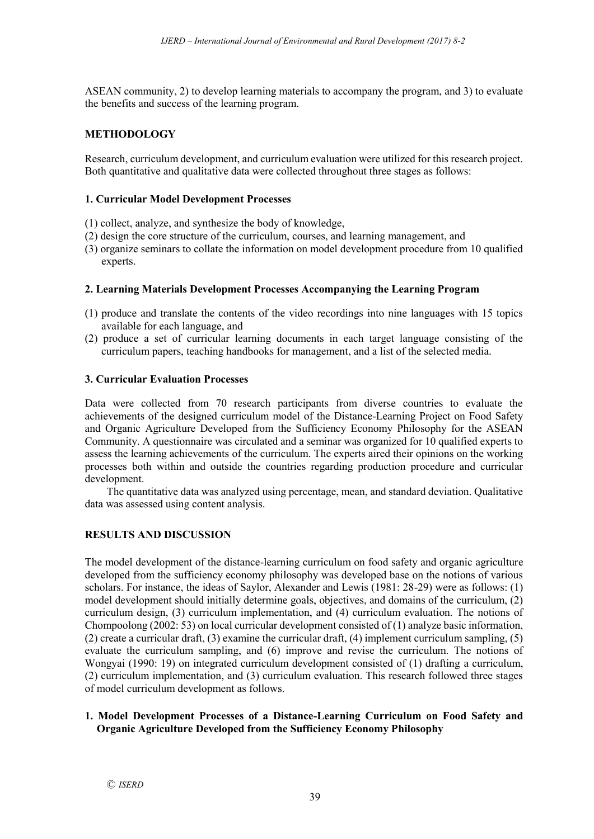ASEAN community, 2) to develop learning materials to accompany the program, and 3) to evaluate the benefits and success of the learning program.

# **METHODOLOGY**

Research, curriculum development, and curriculum evaluation were utilized for this research project. Both quantitative and qualitative data were collected throughout three stages as follows:

# **1. Curricular Model Development Processes**

- (1) collect, analyze, and synthesize the body of knowledge,
- (2) design the core structure of the curriculum, courses, and learning management, and
- (3) organize seminars to collate the information on model development procedure from 10 qualified experts.

# **2. Learning Materials Development Processes Accompanying the Learning Program**

- (1) produce and translate the contents of the video recordings into nine languages with 15 topics available for each language, and
- (2) produce a set of curricular learning documents in each target language consisting of the curriculum papers, teaching handbooks for management, and a list of the selected media.

## **3. Curricular Evaluation Processes**

Data were collected from 70 research participants from diverse countries to evaluate the achievements of the designed curriculum model of the Distance-Learning Project on Food Safety and Organic Agriculture Developed from the Sufficiency Economy Philosophy for the ASEAN Community. A questionnaire was circulated and a seminar was organized for 10 qualified experts to assess the learning achievements of the curriculum. The experts aired their opinions on the working processes both within and outside the countries regarding production procedure and curricular development.

The quantitative data was analyzed using percentage, mean, and standard deviation. Qualitative data was assessed using content analysis.

# **RESULTS AND DISCUSSION**

The model development of the distance-learning curriculum on food safety and organic agriculture developed from the sufficiency economy philosophy was developed base on the notions of various scholars. For instance, the ideas of Saylor, Alexander and Lewis (1981: 28-29) were as follows: (1) model development should initially determine goals, objectives, and domains of the curriculum, (2) curriculum design, (3) curriculum implementation, and (4) curriculum evaluation. The notions of Chompoolong (2002: 53) on local curricular development consisted of (1) analyze basic information, (2) create a curricular draft, (3) examine the curricular draft, (4) implement curriculum sampling, (5) evaluate the curriculum sampling, and (6) improve and revise the curriculum. The notions of Wongyai (1990: 19) on integrated curriculum development consisted of (1) drafting a curriculum, (2) curriculum implementation, and (3) curriculum evaluation. This research followed three stages of model curriculum development as follows.

## **1. Model Development Processes of a Distance-Learning Curriculum on Food Safety and Organic Agriculture Developed from the Sufficiency Economy Philosophy**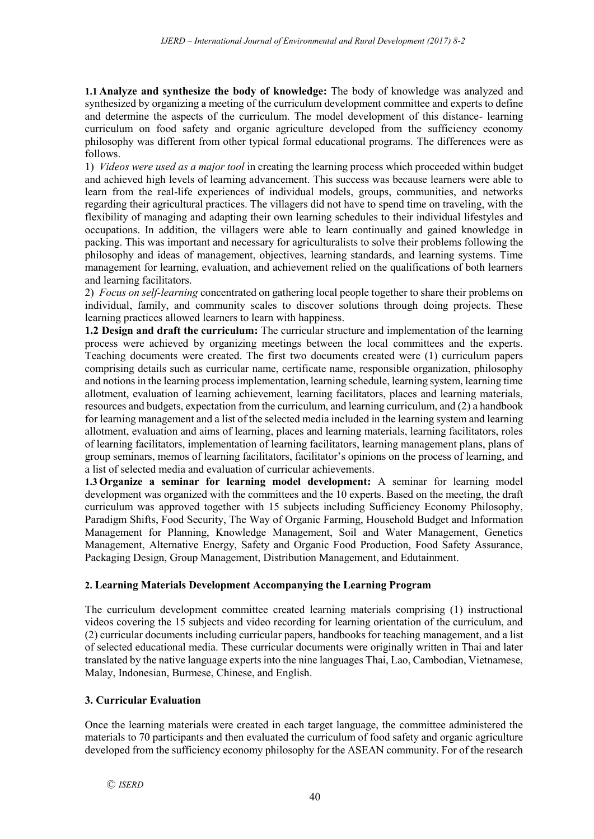**1.1 Analyze and synthesize the body of knowledge:** The body of knowledge was analyzed and synthesized by organizing a meeting of the curriculum development committee and experts to define and determine the aspects of the curriculum. The model development of this distance- learning curriculum on food safety and organic agriculture developed from the sufficiency economy philosophy was different from other typical formal educational programs. The differences were as follows.

1) *Videos were used as a major tool* in creating the learning process which proceeded within budget and achieved high levels of learning advancement. This success was because learners were able to learn from the real-life experiences of individual models, groups, communities, and networks regarding their agricultural practices. The villagers did not have to spend time on traveling, with the flexibility of managing and adapting their own learning schedules to their individual lifestyles and occupations. In addition, the villagers were able to learn continually and gained knowledge in packing. This was important and necessary for agriculturalists to solve their problems following the philosophy and ideas of management, objectives, learning standards, and learning systems. Time management for learning, evaluation, and achievement relied on the qualifications of both learners and learning facilitators.

2) *Focus on self-learning* concentrated on gathering local people together to share their problems on individual, family, and community scales to discover solutions through doing projects. These learning practices allowed learners to learn with happiness.

**1.2 Design and draft the curriculum:** The curricular structure and implementation of the learning process were achieved by organizing meetings between the local committees and the experts. Teaching documents were created. The first two documents created were (1) curriculum papers comprising details such as curricular name, certificate name, responsible organization, philosophy and notions in the learning process implementation, learning schedule, learning system, learning time allotment, evaluation of learning achievement, learning facilitators, places and learning materials, resources and budgets, expectation from the curriculum, and learning curriculum, and (2) a handbook for learning management and a list of the selected media included in the learning system and learning allotment, evaluation and aims of learning, places and learning materials, learning facilitators, roles of learning facilitators, implementation of learning facilitators, learning management plans, plans of group seminars, memos of learning facilitators, facilitator's opinions on the process of learning, and a list of selected media and evaluation of curricular achievements.

**1.3 Organize a seminar for learning model development:** A seminar for learning model development was organized with the committees and the 10 experts. Based on the meeting, the draft curriculum was approved together with 15 subjects including Sufficiency Economy Philosophy, Paradigm Shifts, Food Security, The Way of Organic Farming, Household Budget and Information Management for Planning, Knowledge Management, Soil and Water Management, Genetics Management, Alternative Energy, Safety and Organic Food Production, Food Safety Assurance, Packaging Design, Group Management, Distribution Management, and Edutainment.

# **2. Learning Materials Development Accompanying the Learning Program**

The curriculum development committee created learning materials comprising (1) instructional videos covering the 15 subjects and video recording for learning orientation of the curriculum, and (2) curricular documents including curricular papers, handbooks for teaching management, and a list of selected educational media. These curricular documents were originally written in Thai and later translated by the native language experts into the nine languages Thai, Lao, Cambodian, Vietnamese, Malay, Indonesian, Burmese, Chinese, and English.

# **3. Curricular Evaluation**

Once the learning materials were created in each target language, the committee administered the materials to 70 participants and then evaluated the curriculum of food safety and organic agriculture developed from the sufficiency economy philosophy for the ASEAN community. For of the research